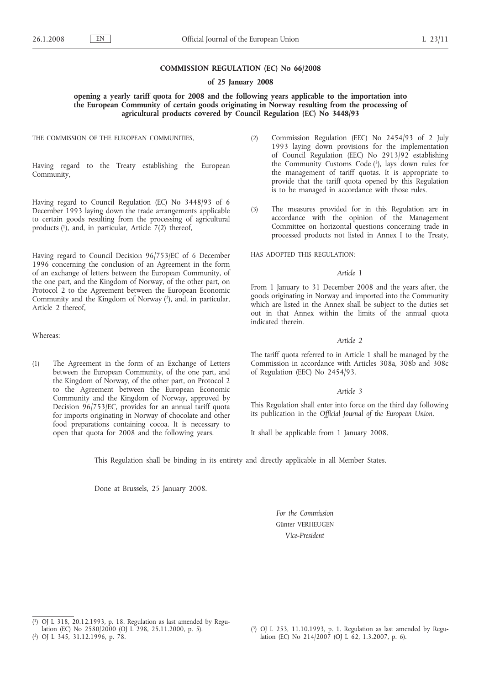# **COMMISSION REGULATION (EC) No 66/2008**

# **of 25 January 2008**

# **opening a yearly tariff quota for 2008 and the following years applicable to the importation into the European Community of certain goods originating in Norway resulting from the processing of agricultural products covered by Council Regulation (EC) No 3448/93**

THE COMMISSION OF THE EUROPEAN COMMUNITIES,

Having regard to the Treaty establishing the European Community,

Having regard to Council Regulation (EC) No 3448/93 of 6 December 1993 laying down the trade arrangements applicable to certain goods resulting from the processing of agricultural products (1), and, in particular, Article 7(2) thereof,

Having regard to Council Decision 96/753/EC of 6 December 1996 concerning the conclusion of an Agreement in the form of an exchange of letters between the European Community, of the one part, and the Kingdom of Norway, of the other part, on Protocol 2 to the Agreement between the European Economic Community and the Kingdom of Norway (2), and, in particular, Article 2 thereof,

# Whereas:

(1) The Agreement in the form of an Exchange of Letters between the European Community, of the one part, and the Kingdom of Norway, of the other part, on Protocol 2 to the Agreement between the European Economic Community and the Kingdom of Norway, approved by Decision 96/753/EC, provides for an annual tariff quota for imports originating in Norway of chocolate and other food preparations containing cocoa. It is necessary to open that quota for 2008 and the following years.

- (2) Commission Regulation (EEC) No 2454/93 of 2 July 1993 laying down provisions for the implementation of Council Regulation (EEC) No 2913/92 establishing the Community Customs Code  $(3)$ , lays down rules for the management of tariff quotas. It is appropriate to provide that the tariff quota opened by this Regulation is to be managed in accordance with those rules.
- (3) The measures provided for in this Regulation are in accordance with the opinion of the Management Committee on horizontal questions concerning trade in processed products not listed in Annex I to the Treaty,

HAS ADOPTED THIS REGULATION:

#### *Article 1*

From 1 January to 31 December 2008 and the years after, the goods originating in Norway and imported into the Community which are listed in the Annex shall be subject to the duties set out in that Annex within the limits of the annual quota indicated therein.

# *Article 2*

The tariff quota referred to in Article 1 shall be managed by the Commission in accordance with Articles 308a, 308b and 308c of Regulation (EEC) No 2454/93.

### *Article 3*

This Regulation shall enter into force on the third day following its publication in the *Official Journal of the European Union*.

It shall be applicable from 1 January 2008.

This Regulation shall be binding in its entirety and directly applicable in all Member States.

Done at Brussels, 25 January 2008.

*For the Commission* Günter VERHEUGEN *Vice-President*

<sup>(</sup> 1) OJ L 318, 20.12.1993, p. 18. Regulation as last amended by Regulation (EC) No 2580/2000 (OJ L 298, 25.11.2000, p. 5).

<sup>(</sup> 2) OJ L 345, 31.12.1996, p. 78.

<sup>(</sup> 3) OJ L 253, 11.10.1993, p. 1. Regulation as last amended by Regulation (EC) No 214/2007 (OJ L 62, 1.3.2007, p. 6).